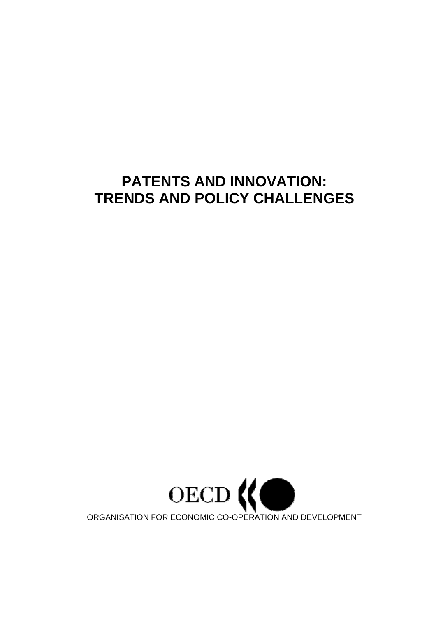# **PATENTS AND INNOVATION: TRENDS AND POLICY CHALLENGES**

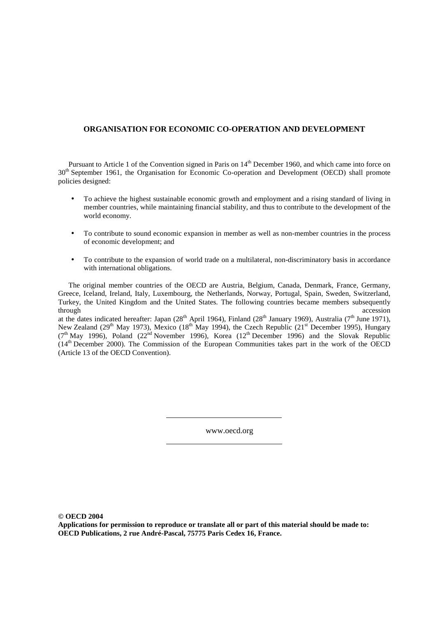## **ORGANISATION FOR ECONOMIC CO-OPERATION AND DEVELOPMENT**

Pursuant to Article 1 of the Convention signed in Paris on  $14<sup>th</sup>$  December 1960, and which came into force on 30<sup>th</sup> September 1961, the Organisation for Economic Co-operation and Development (OECD) shall promote policies designed:

- To achieve the highest sustainable economic growth and employment and a rising standard of living in member countries, while maintaining financial stability, and thus to contribute to the development of the world economy.
- To contribute to sound economic expansion in member as well as non-member countries in the process of economic development; and
- To contribute to the expansion of world trade on a multilateral, non-discriminatory basis in accordance with international obligations.

The original member countries of the OECD are Austria, Belgium, Canada, Denmark, France, Germany, Greece, Iceland, Ireland, Italy, Luxembourg, the Netherlands, Norway, Portugal, Spain, Sweden, Switzerland, Turkey, the United Kingdom and the United States. The following countries became members subsequently through accession and the set of the set of the set of the set of the set of the set of the set of the set of the set of the set of the set of the set of the set of the set of the set of the set of the set of the set of th

at the dates indicated hereafter: Japan (28<sup>th</sup> April 1964), Finland (28<sup>th</sup> January 1969), Australia (7<sup>th</sup> June 1971), New Zealand (29<sup>th</sup> May 1973), Mexico (18<sup>th</sup> May 1994), the Czech Republic (21<sup>st</sup> December 1995), Hungary  $(7<sup>th</sup>$  May 1996), Poland  $(22<sup>nd</sup>$  November 1996), Korea  $(12<sup>th</sup>$  December 1996) and the Slovak Republic (14th December 2000). The Commission of the European Communities takes part in the work of the OECD (Article 13 of the OECD Convention).

www.oecd.org

**© OECD 2004** 

**Applications for permission to reproduce or translate all or part of this material should be made to: OECD Publications, 2 rue André-Pascal, 75775 Paris Cedex 16, France.**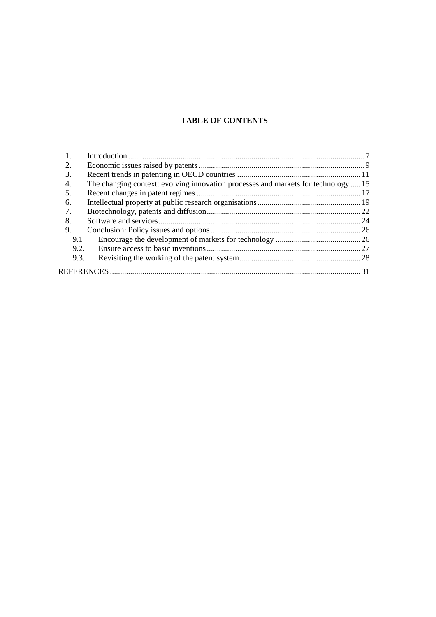## **TABLE OF CONTENTS**

| 2.   |                                                                                    |  |
|------|------------------------------------------------------------------------------------|--|
| 3.   |                                                                                    |  |
| 4.   | The changing context: evolving innovation processes and markets for technology  15 |  |
| .5.  |                                                                                    |  |
| 6.   |                                                                                    |  |
| 7.   |                                                                                    |  |
| 8.   |                                                                                    |  |
| 9.   |                                                                                    |  |
| 9.1  |                                                                                    |  |
| 9.2. |                                                                                    |  |
| 9.3. |                                                                                    |  |
|      |                                                                                    |  |
|      |                                                                                    |  |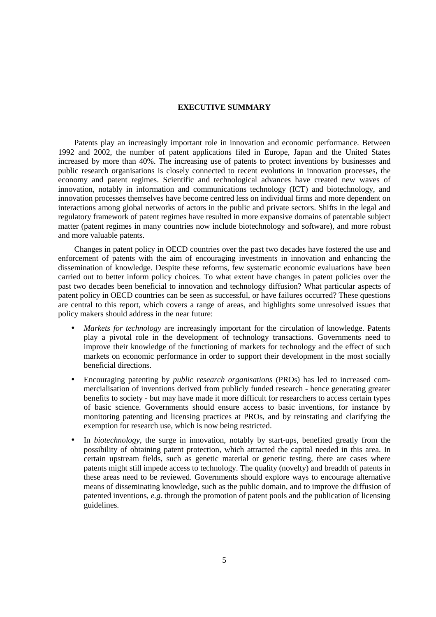## **EXECUTIVE SUMMARY**

Patents play an increasingly important role in innovation and economic performance. Between 1992 and 2002, the number of patent applications filed in Europe, Japan and the United States increased by more than 40%. The increasing use of patents to protect inventions by businesses and public research organisations is closely connected to recent evolutions in innovation processes, the economy and patent regimes. Scientific and technological advances have created new waves of innovation, notably in information and communications technology (ICT) and biotechnology, and innovation processes themselves have become centred less on individual firms and more dependent on interactions among global networks of actors in the public and private sectors. Shifts in the legal and regulatory framework of patent regimes have resulted in more expansive domains of patentable subject matter (patent regimes in many countries now include biotechnology and software), and more robust and more valuable patents.

Changes in patent policy in OECD countries over the past two decades have fostered the use and enforcement of patents with the aim of encouraging investments in innovation and enhancing the dissemination of knowledge. Despite these reforms, few systematic economic evaluations have been carried out to better inform policy choices. To what extent have changes in patent policies over the past two decades been beneficial to innovation and technology diffusion? What particular aspects of patent policy in OECD countries can be seen as successful, or have failures occurred? These questions are central to this report, which covers a range of areas, and highlights some unresolved issues that policy makers should address in the near future:

- *Markets for technology* are increasingly important for the circulation of knowledge. Patents play a pivotal role in the development of technology transactions. Governments need to improve their knowledge of the functioning of markets for technology and the effect of such markets on economic performance in order to support their development in the most socially beneficial directions.
- Encouraging patenting by *public research organisations* (PROs) has led to increased commercialisation of inventions derived from publicly funded research - hence generating greater benefits to society - but may have made it more difficult for researchers to access certain types of basic science. Governments should ensure access to basic inventions, for instance by monitoring patenting and licensing practices at PROs, and by reinstating and clarifying the exemption for research use, which is now being restricted.
- In *biotechnology*, the surge in innovation, notably by start-ups, benefited greatly from the possibility of obtaining patent protection, which attracted the capital needed in this area. In certain upstream fields, such as genetic material or genetic testing, there are cases where patents might still impede access to technology. The quality (novelty) and breadth of patents in these areas need to be reviewed. Governments should explore ways to encourage alternative means of disseminating knowledge, such as the public domain, and to improve the diffusion of patented inventions, *e.g.* through the promotion of patent pools and the publication of licensing guidelines.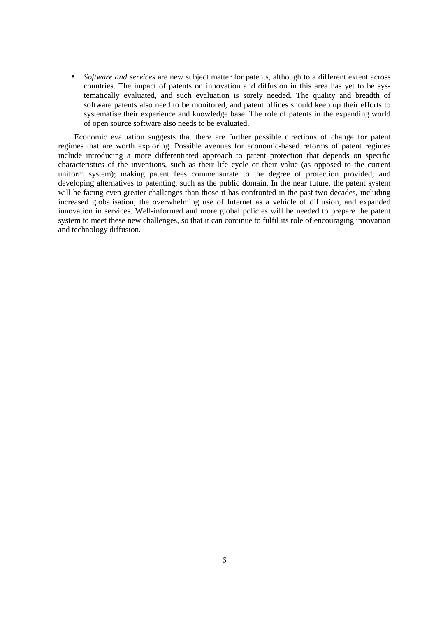• *Software and services* are new subject matter for patents, although to a different extent across countries. The impact of patents on innovation and diffusion in this area has yet to be systematically evaluated, and such evaluation is sorely needed. The quality and breadth of software patents also need to be monitored, and patent offices should keep up their efforts to systematise their experience and knowledge base. The role of patents in the expanding world of open source software also needs to be evaluated.

Economic evaluation suggests that there are further possible directions of change for patent regimes that are worth exploring. Possible avenues for economic-based reforms of patent regimes include introducing a more differentiated approach to patent protection that depends on specific characteristics of the inventions, such as their life cycle or their value (as opposed to the current uniform system); making patent fees commensurate to the degree of protection provided; and developing alternatives to patenting, such as the public domain. In the near future, the patent system will be facing even greater challenges than those it has confronted in the past two decades, including increased globalisation, the overwhelming use of Internet as a vehicle of diffusion, and expanded innovation in services. Well-informed and more global policies will be needed to prepare the patent system to meet these new challenges, so that it can continue to fulfil its role of encouraging innovation and technology diffusion.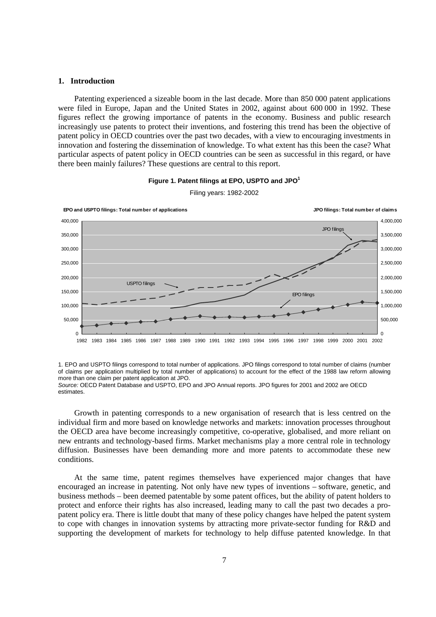#### **1. Introduction**

Patenting experienced a sizeable boom in the last decade. More than 850 000 patent applications were filed in Europe, Japan and the United States in 2002, against about 600 000 in 1992. These figures reflect the growing importance of patents in the economy. Business and public research increasingly use patents to protect their inventions, and fostering this trend has been the objective of patent policy in OECD countries over the past two decades, with a view to encouraging investments in innovation and fostering the dissemination of knowledge. To what extent has this been the case? What particular aspects of patent policy in OECD countries can be seen as successful in this regard, or have there been mainly failures? These questions are central to this report.

## **Figure 1. Patent filings at EPO, USPTO and JPO1**



Filing years: 1982-2002

1. EPO and USPTO filings correspond to total number of applications. JPO filings correspond to total number of claims (number of claims per application multiplied by total number of applications) to account for the effect of the 1988 law reform allowing more than one claim per patent application at JPO.

Source: OECD Patent Database and USPTO, EPO and JPO Annual reports. JPO figures for 2001 and 2002 are OECD estimates.

Growth in patenting corresponds to a new organisation of research that is less centred on the individual firm and more based on knowledge networks and markets: innovation processes throughout the OECD area have become increasingly competitive, co-operative, globalised, and more reliant on new entrants and technology-based firms. Market mechanisms play a more central role in technology diffusion. Businesses have been demanding more and more patents to accommodate these new conditions.

At the same time, patent regimes themselves have experienced major changes that have encouraged an increase in patenting. Not only have new types of inventions – software, genetic, and business methods – been deemed patentable by some patent offices, but the ability of patent holders to protect and enforce their rights has also increased, leading many to call the past two decades a propatent policy era. There is little doubt that many of these policy changes have helped the patent system to cope with changes in innovation systems by attracting more private-sector funding for R&D and supporting the development of markets for technology to help diffuse patented knowledge. In that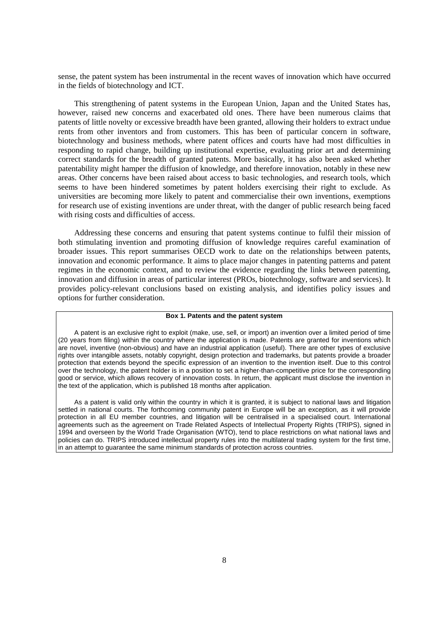sense, the patent system has been instrumental in the recent waves of innovation which have occurred in the fields of biotechnology and ICT.

This strengthening of patent systems in the European Union, Japan and the United States has, however, raised new concerns and exacerbated old ones. There have been numerous claims that patents of little novelty or excessive breadth have been granted, allowing their holders to extract undue rents from other inventors and from customers. This has been of particular concern in software, biotechnology and business methods, where patent offices and courts have had most difficulties in responding to rapid change, building up institutional expertise, evaluating prior art and determining correct standards for the breadth of granted patents. More basically, it has also been asked whether patentability might hamper the diffusion of knowledge, and therefore innovation, notably in these new areas. Other concerns have been raised about access to basic technologies, and research tools, which seems to have been hindered sometimes by patent holders exercising their right to exclude. As universities are becoming more likely to patent and commercialise their own inventions, exemptions for research use of existing inventions are under threat, with the danger of public research being faced with rising costs and difficulties of access.

Addressing these concerns and ensuring that patent systems continue to fulfil their mission of both stimulating invention and promoting diffusion of knowledge requires careful examination of broader issues. This report summarises OECD work to date on the relationships between patents, innovation and economic performance. It aims to place major changes in patenting patterns and patent regimes in the economic context, and to review the evidence regarding the links between patenting, innovation and diffusion in areas of particular interest (PROs, biotechnology, software and services). It provides policy-relevant conclusions based on existing analysis, and identifies policy issues and options for further consideration.

## **Box 1. Patents and the patent system**

A patent is an exclusive right to exploit (make, use, sell, or import) an invention over a limited period of time (20 years from filing) within the country where the application is made. Patents are granted for inventions which are novel, inventive (non-obvious) and have an industrial application (useful). There are other types of exclusive rights over intangible assets, notably copyright, design protection and trademarks, but patents provide a broader protection that extends beyond the specific expression of an invention to the invention itself. Due to this control over the technology, the patent holder is in a position to set a higher-than-competitive price for the corresponding good or service, which allows recovery of innovation costs. In return, the applicant must disclose the invention in the text of the application, which is published 18 months after application.

As a patent is valid only within the country in which it is granted, it is subject to national laws and litigation settled in national courts. The forthcoming community patent in Europe will be an exception, as it will provide protection in all EU member countries, and litigation will be centralised in a specialised court. International agreements such as the agreement on Trade Related Aspects of Intellectual Property Rights (TRIPS), signed in 1994 and overseen by the World Trade Organisation (WTO), tend to place restrictions on what national laws and policies can do. TRIPS introduced intellectual property rules into the multilateral trading system for the first time, in an attempt to guarantee the same minimum standards of protection across countries.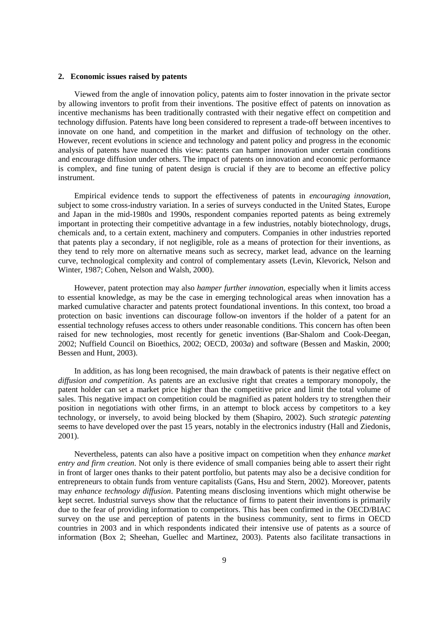## **2. Economic issues raised by patents**

Viewed from the angle of innovation policy, patents aim to foster innovation in the private sector by allowing inventors to profit from their inventions. The positive effect of patents on innovation as incentive mechanisms has been traditionally contrasted with their negative effect on competition and technology diffusion. Patents have long been considered to represent a trade-off between incentives to innovate on one hand, and competition in the market and diffusion of technology on the other. However, recent evolutions in science and technology and patent policy and progress in the economic analysis of patents have nuanced this view: patents can hamper innovation under certain conditions and encourage diffusion under others. The impact of patents on innovation and economic performance is complex, and fine tuning of patent design is crucial if they are to become an effective policy instrument.

Empirical evidence tends to support the effectiveness of patents in *encouraging innovation*, subject to some cross-industry variation. In a series of surveys conducted in the United States, Europe and Japan in the mid-1980s and 1990s, respondent companies reported patents as being extremely important in protecting their competitive advantage in a few industries, notably biotechnology, drugs, chemicals and, to a certain extent, machinery and computers. Companies in other industries reported that patents play a secondary, if not negligible, role as a means of protection for their inventions, as they tend to rely more on alternative means such as secrecy, market lead, advance on the learning curve, technological complexity and control of complementary assets (Levin, Klevorick, Nelson and Winter*,* 1987; Cohen, Nelson and Walsh*,* 2000).

However, patent protection may also *hamper further innovation*, especially when it limits access to essential knowledge, as may be the case in emerging technological areas when innovation has a marked cumulative character and patents protect foundational inventions. In this context, too broad a protection on basic inventions can discourage follow-on inventors if the holder of a patent for an essential technology refuses access to others under reasonable conditions. This concern has often been raised for new technologies, most recently for genetic inventions (Bar-Shalom and Cook-Deegan, 2002; Nuffield Council on Bioethics, 2002; OECD, 2003*a*) and software (Bessen and Maskin, 2000; Bessen and Hunt, 2003).

In addition, as has long been recognised, the main drawback of patents is their negative effect on *diffusion and competition*. As patents are an exclusive right that creates a temporary monopoly, the patent holder can set a market price higher than the competitive price and limit the total volume of sales. This negative impact on competition could be magnified as patent holders try to strengthen their position in negotiations with other firms, in an attempt to block access by competitors to a key technology, or inversely, to avoid being blocked by them (Shapiro, 2002). Such *strategic patenting* seems to have developed over the past 15 years, notably in the electronics industry (Hall and Ziedonis, 2001).

Nevertheless, patents can also have a positive impact on competition when they *enhance market entry and firm creation*. Not only is there evidence of small companies being able to assert their right in front of larger ones thanks to their patent portfolio, but patents may also be a decisive condition for entrepreneurs to obtain funds from venture capitalists (Gans, Hsu and Stern, 2002). Moreover, patents may *enhance technology diffusion*. Patenting means disclosing inventions which might otherwise be kept secret. Industrial surveys show that the reluctance of firms to patent their inventions is primarily due to the fear of providing information to competitors. This has been confirmed in the OECD/BIAC survey on the use and perception of patents in the business community, sent to firms in OECD countries in 2003 and in which respondents indicated their intensive use of patents as a source of information (Box 2; Sheehan, Guellec and Martinez, 2003). Patents also facilitate transactions in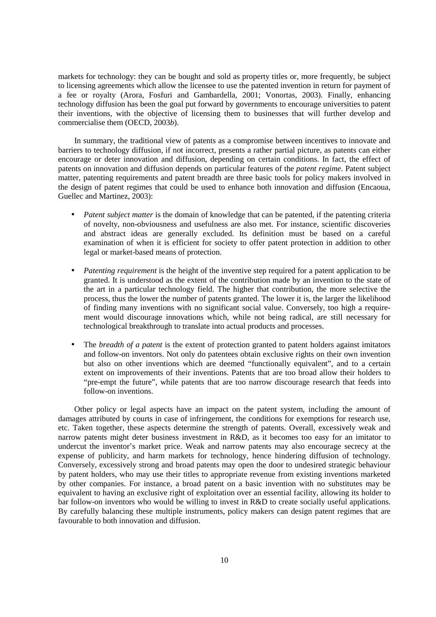markets for technology: they can be bought and sold as property titles or, more frequently, be subject to licensing agreements which allow the licensee to use the patented invention in return for payment of a fee or royalty (Arora, Fosfuri and Gambardella, 2001; Vonortas, 2003). Finally, enhancing technology diffusion has been the goal put forward by governments to encourage universities to patent their inventions, with the objective of licensing them to businesses that will further develop and commercialise them (OECD, 2003*b*).

In summary, the traditional view of patents as a compromise between incentives to innovate and barriers to technology diffusion, if not incorrect, presents a rather partial picture, as patents can either encourage or deter innovation and diffusion, depending on certain conditions. In fact, the effect of patents on innovation and diffusion depends on particular features of the *patent regime*. Patent subject matter, patenting requirements and patent breadth are three basic tools for policy makers involved in the design of patent regimes that could be used to enhance both innovation and diffusion (Encaoua, Guellec and Martinez, 2003):

- *Patent subject matter* is the domain of knowledge that can be patented, if the patenting criteria of novelty, non-obviousness and usefulness are also met. For instance, scientific discoveries and abstract ideas are generally excluded. Its definition must be based on a careful examination of when it is efficient for society to offer patent protection in addition to other legal or market-based means of protection.
- *Patenting requirement* is the height of the inventive step required for a patent application to be granted. It is understood as the extent of the contribution made by an invention to the state of the art in a particular technology field. The higher that contribution, the more selective the process, thus the lower the number of patents granted. The lower it is, the larger the likelihood of finding many inventions with no significant social value. Conversely, too high a requirement would discourage innovations which, while not being radical, are still necessary for technological breakthrough to translate into actual products and processes.
- The *breadth of a patent* is the extent of protection granted to patent holders against imitators and follow-on inventors. Not only do patentees obtain exclusive rights on their own invention but also on other inventions which are deemed "functionally equivalent", and to a certain extent on improvements of their inventions. Patents that are too broad allow their holders to "pre-empt the future", while patents that are too narrow discourage research that feeds into follow-on inventions.

Other policy or legal aspects have an impact on the patent system, including the amount of damages attributed by courts in case of infringement, the conditions for exemptions for research use, etc*.* Taken together, these aspects determine the strength of patents. Overall, excessively weak and narrow patents might deter business investment in R&D, as it becomes too easy for an imitator to undercut the inventor's market price. Weak and narrow patents may also encourage secrecy at the expense of publicity, and harm markets for technology, hence hindering diffusion of technology. Conversely, excessively strong and broad patents may open the door to undesired strategic behaviour by patent holders, who may use their titles to appropriate revenue from existing inventions marketed by other companies. For instance, a broad patent on a basic invention with no substitutes may be equivalent to having an exclusive right of exploitation over an essential facility, allowing its holder to bar follow-on inventors who would be willing to invest in R&D to create socially useful applications. By carefully balancing these multiple instruments, policy makers can design patent regimes that are favourable to both innovation and diffusion.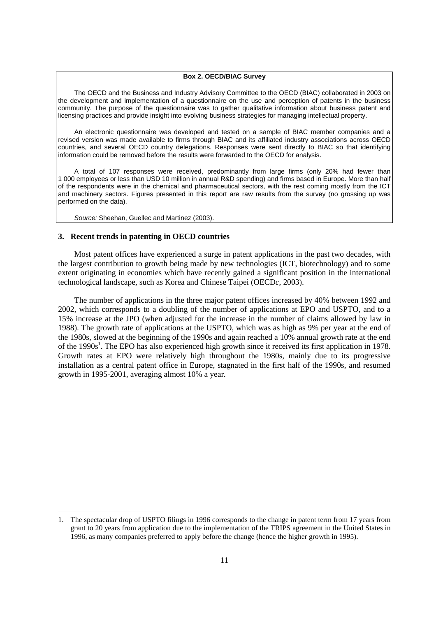#### **Box 2. OECD/BIAC Survey**

The OECD and the Business and Industry Advisory Committee to the OECD (BIAC) collaborated in 2003 on the development and implementation of a questionnaire on the use and perception of patents in the business community. The purpose of the questionnaire was to gather qualitative information about business patent and licensing practices and provide insight into evolving business strategies for managing intellectual property.

An electronic questionnaire was developed and tested on a sample of BIAC member companies and a revised version was made available to firms through BIAC and its affiliated industry associations across OECD countries, and several OECD country delegations. Responses were sent directly to BIAC so that identifying information could be removed before the results were forwarded to the OECD for analysis.

A total of 107 responses were received, predominantly from large firms (only 20% had fewer than 1 000 employees or less than USD 10 million in annual R&D spending) and firms based in Europe. More than half of the respondents were in the chemical and pharmaceutical sectors, with the rest coming mostly from the ICT and machinery sectors. Figures presented in this report are raw results from the survey (no grossing up was performed on the data).

Source: Sheehan, Guellec and Martinez (2003).

## **3. Recent trends in patenting in OECD countries**

 $\overline{a}$ 

Most patent offices have experienced a surge in patent applications in the past two decades, with the largest contribution to growth being made by new technologies (ICT, biotechnology) and to some extent originating in economies which have recently gained a significant position in the international technological landscape, such as Korea and Chinese Taipei (OECD*c*, 2003).

The number of applications in the three major patent offices increased by 40% between 1992 and 2002, which corresponds to a doubling of the number of applications at EPO and USPTO, and to a 15% increase at the JPO (when adjusted for the increase in the number of claims allowed by law in 1988). The growth rate of applications at the USPTO, which was as high as 9% per year at the end of the 1980s, slowed at the beginning of the 1990s and again reached a 10% annual growth rate at the end of the 1990s<sup>1</sup>. The EPO has also experienced high growth since it received its first application in 1978. Growth rates at EPO were relatively high throughout the 1980s, mainly due to its progressive installation as a central patent office in Europe, stagnated in the first half of the 1990s, and resumed growth in 1995-2001, averaging almost 10% a year.

<sup>1.</sup> The spectacular drop of USPTO filings in 1996 corresponds to the change in patent term from 17 years from grant to 20 years from application due to the implementation of the TRIPS agreement in the United States in 1996, as many companies preferred to apply before the change (hence the higher growth in 1995).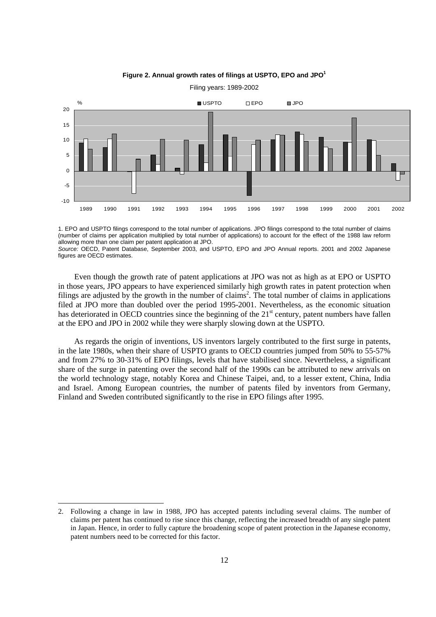

#### **Figure 2. Annual growth rates of filings at USPTO, EPO and JPO1**

Filing years: 1989-2002

1. EPO and USPTO filings correspond to the total number of applications. JPO filings correspond to the total number of claims (number of claims per application multiplied by total number of applications) to account for the effect of the 1988 law reform allowing more than one claim per patent application at JPO.

Source: OECD, Patent Database, September 2003, and USPTO, EPO and JPO Annual reports. 2001 and 2002 Japanese figures are OECD estimates.

Even though the growth rate of patent applications at JPO was not as high as at EPO or USPTO in those years, JPO appears to have experienced similarly high growth rates in patent protection when filings are adjusted by the growth in the number of claims<sup>2</sup>. The total number of claims in applications filed at JPO more than doubled over the period 1995-2001. Nevertheless, as the economic situation has deteriorated in OECD countries since the beginning of the  $21<sup>st</sup>$  century, patent numbers have fallen at the EPO and JPO in 2002 while they were sharply slowing down at the USPTO.

As regards the origin of inventions, US inventors largely contributed to the first surge in patents, in the late 1980s, when their share of USPTO grants to OECD countries jumped from 50% to 55-57% and from 27% to 30-31% of EPO filings, levels that have stabilised since. Nevertheless, a significant share of the surge in patenting over the second half of the 1990s can be attributed to new arrivals on the world technology stage, notably Korea and Chinese Taipei, and, to a lesser extent, China, India and Israel. Among European countries, the number of patents filed by inventors from Germany, Finland and Sweden contributed significantly to the rise in EPO filings after 1995.

 $\overline{a}$ 

<sup>2.</sup> Following a change in law in 1988, JPO has accepted patents including several claims. The number of claims per patent has continued to rise since this change, reflecting the increased breadth of any single patent in Japan. Hence, in order to fully capture the broadening scope of patent protection in the Japanese economy, patent numbers need to be corrected for this factor.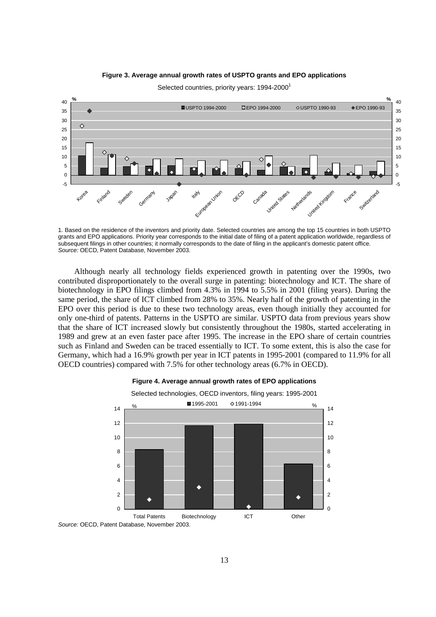



Selected countries, priority years: 1994-2000<sup>1</sup>

Although nearly all technology fields experienced growth in patenting over the 1990s, two contributed disproportionately to the overall surge in patenting: biotechnology and ICT. The share of biotechnology in EPO filings climbed from 4.3% in 1994 to 5.5% in 2001 (filing years). During the same period, the share of ICT climbed from 28% to 35%. Nearly half of the growth of patenting in the EPO over this period is due to these two technology areas, even though initially they accounted for only one-third of patents. Patterns in the USPTO are similar. USPTO data from previous years show that the share of ICT increased slowly but consistently throughout the 1980s, started accelerating in 1989 and grew at an even faster pace after 1995. The increase in the EPO share of certain countries such as Finland and Sweden can be traced essentially to ICT. To some extent, this is also the case for Germany, which had a 16.9% growth per year in ICT patents in 1995-2001 (compared to 11.9% for all OECD countries) compared with 7.5% for other technology areas (6.7% in OECD).





<sup>1.</sup> Based on the residence of the inventors and priority date. Selected countries are among the top 15 countries in both USPTO grants and EPO applications. Priority year corresponds to the initial date of filing of a patent application worldwide, regardless of subsequent filings in other countries; it normally corresponds to the date of filing in the applicant's domestic patent office. Source: OECD, Patent Database, November 2003.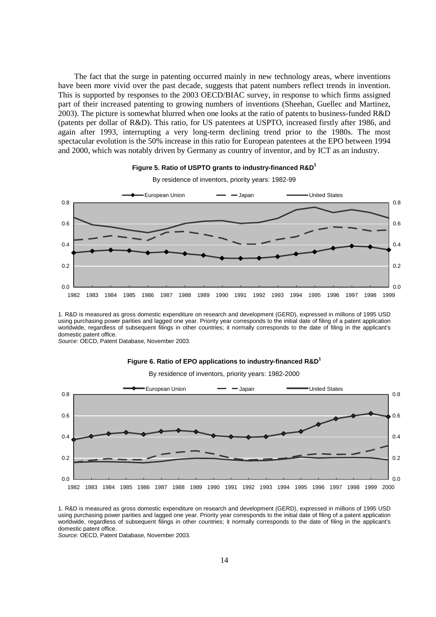The fact that the surge in patenting occurred mainly in new technology areas, where inventions have been more vivid over the past decade, suggests that patent numbers reflect trends in invention. This is supported by responses to the 2003 OECD/BIAC survey, in response to which firms assigned part of their increased patenting to growing numbers of inventions (Sheehan, Guellec and Martinez, 2003). The picture is somewhat blurred when one looks at the ratio of patents to business-funded  $R&D$ (patents per dollar of R&D). This ratio, for US patentees at USPTO, increased firstly after 1986, and again after 1993, interrupting a very long-term declining trend prior to the 1980s. The most spectacular evolution is the 50% increase in this ratio for European patentees at the EPO between 1994 and 2000, which was notably driven by Germany as country of inventor, and by ICT as an industry.



**Figure 5. Ratio of USPTO grants to industry-financed R&D1**

1. R&D is measured as gross domestic expenditure on research and development (GERD), expressed in millions of 1995 USD using purchasing power parities and lagged one year. Priority year corresponds to the initial date of filing of a patent application worldwide, regardless of subsequent filings in other countries; it normally corresponds to the date of filing in the applicant's domestic patent office.

Source: OECD, Patent Database, November 2003.

#### **Figure 6. Ratio of EPO applications to industry-financed R&D1**

0.0 0.2 0.4 0.6 0.8 1982 1983 1984 1985 1986 1987 1988 1989 1990 1991 1992 1993 1994 1995 1996 1997 1998 1999 2000 0.0 0.2 0.4 0.6 0.8 European Union **Internation** Japan **Constructs** United States

By residence of inventors, priority years: 1982-2000

1. R&D is measured as gross domestic expenditure on research and development (GERD), expressed in millions of 1995 USD using purchasing power parities and lagged one year. Priority year corresponds to the initial date of filing of a patent application worldwide, regardless of subsequent filings in other countries; it normally corresponds to the date of filing in the applicant's domestic patent office.

Source: OECD, Patent Database, November 2003.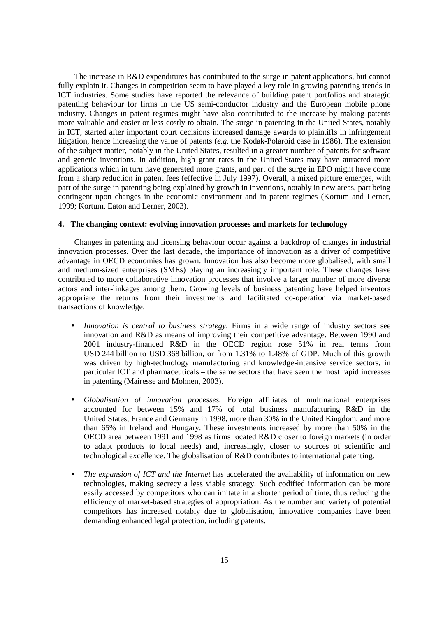The increase in R&D expenditures has contributed to the surge in patent applications, but cannot fully explain it. Changes in competition seem to have played a key role in growing patenting trends in ICT industries. Some studies have reported the relevance of building patent portfolios and strategic patenting behaviour for firms in the US semi-conductor industry and the European mobile phone industry. Changes in patent regimes might have also contributed to the increase by making patents more valuable and easier or less costly to obtain. The surge in patenting in the United States, notably in ICT, started after important court decisions increased damage awards to plaintiffs in infringement litigation, hence increasing the value of patents (*e.g.* the Kodak-Polaroid case in 1986). The extension of the subject matter, notably in the United States, resulted in a greater number of patents for software and genetic inventions. In addition, high grant rates in the United States may have attracted more applications which in turn have generated more grants, and part of the surge in EPO might have come from a sharp reduction in patent fees (effective in July 1997). Overall, a mixed picture emerges, with part of the surge in patenting being explained by growth in inventions, notably in new areas, part being contingent upon changes in the economic environment and in patent regimes (Kortum and Lerner, 1999; Kortum, Eaton and Lerner, 2003).

## **4. The changing context: evolving innovation processes and markets for technology**

Changes in patenting and licensing behaviour occur against a backdrop of changes in industrial innovation processes. Over the last decade, the importance of innovation as a driver of competitive advantage in OECD economies has grown. Innovation has also become more globalised, with small and medium-sized enterprises (SMEs) playing an increasingly important role. These changes have contributed to more collaborative innovation processes that involve a larger number of more diverse actors and inter-linkages among them. Growing levels of business patenting have helped inventors appropriate the returns from their investments and facilitated co-operation via market-based transactions of knowledge.

- *Innovation is central to business strategy*. Firms in a wide range of industry sectors see innovation and R&D as means of improving their competitive advantage. Between 1990 and 2001 industry-financed R&D in the OECD region rose 51% in real terms from USD 244 billion to USD 368 billion, or from 1.31% to 1.48% of GDP. Much of this growth was driven by high-technology manufacturing and knowledge-intensive service sectors, in particular ICT and pharmaceuticals – the same sectors that have seen the most rapid increases in patenting (Mairesse and Mohnen, 2003).
- *Globalisation of innovation processes.* Foreign affiliates of multinational enterprises accounted for between 15% and 17% of total business manufacturing R&D in the United States, France and Germany in 1998, more than 30% in the United Kingdom, and more than 65% in Ireland and Hungary. These investments increased by more than 50% in the OECD area between 1991 and 1998 as firms located R&D closer to foreign markets (in order to adapt products to local needs) and, increasingly, closer to sources of scientific and technological excellence. The globalisation of R&D contributes to international patenting.
- *The expansion of ICT and the Internet* has accelerated the availability of information on new technologies, making secrecy a less viable strategy. Such codified information can be more easily accessed by competitors who can imitate in a shorter period of time, thus reducing the efficiency of market-based strategies of appropriation. As the number and variety of potential competitors has increased notably due to globalisation, innovative companies have been demanding enhanced legal protection, including patents.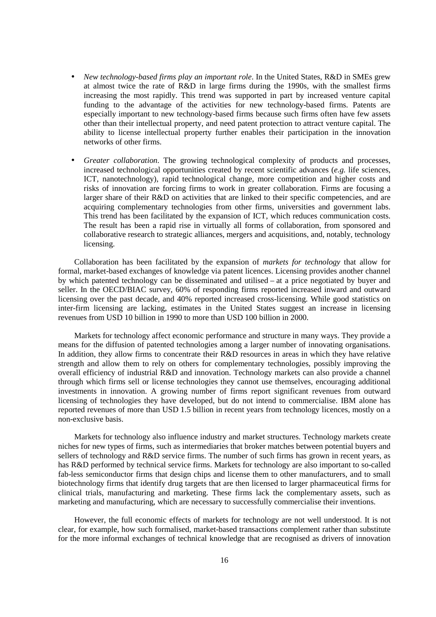- *New technology-based firms play an important role*. In the United States, R&D in SMEs grew at almost twice the rate of R&D in large firms during the 1990s, with the smallest firms increasing the most rapidly. This trend was supported in part by increased venture capital funding to the advantage of the activities for new technology-based firms. Patents are especially important to new technology-based firms because such firms often have few assets other than their intellectual property, and need patent protection to attract venture capital. The ability to license intellectual property further enables their participation in the innovation networks of other firms.
- *Greater collaboration*. The growing technological complexity of products and processes, increased technological opportunities created by recent scientific advances (*e.g.* life sciences, ICT, nanotechnology), rapid technological change, more competition and higher costs and risks of innovation are forcing firms to work in greater collaboration. Firms are focusing a larger share of their R&D on activities that are linked to their specific competencies, and are acquiring complementary technologies from other firms, universities and government labs. This trend has been facilitated by the expansion of ICT, which reduces communication costs. The result has been a rapid rise in virtually all forms of collaboration, from sponsored and collaborative research to strategic alliances, mergers and acquisitions, and, notably, technology licensing.

Collaboration has been facilitated by the expansion of *markets for technology* that allow for formal, market-based exchanges of knowledge via patent licences. Licensing provides another channel by which patented technology can be disseminated and utilised – at a price negotiated by buyer and seller. In the OECD/BIAC survey, 60% of responding firms reported increased inward and outward licensing over the past decade, and 40% reported increased cross-licensing. While good statistics on inter-firm licensing are lacking, estimates in the United States suggest an increase in licensing revenues from USD 10 billion in 1990 to more than USD 100 billion in 2000.

Markets for technology affect economic performance and structure in many ways. They provide a means for the diffusion of patented technologies among a larger number of innovating organisations. In addition, they allow firms to concentrate their R&D resources in areas in which they have relative strength and allow them to rely on others for complementary technologies, possibly improving the overall efficiency of industrial R&D and innovation. Technology markets can also provide a channel through which firms sell or license technologies they cannot use themselves, encouraging additional investments in innovation. A growing number of firms report significant revenues from outward licensing of technologies they have developed, but do not intend to commercialise. IBM alone has reported revenues of more than USD 1.5 billion in recent years from technology licences, mostly on a non-exclusive basis.

Markets for technology also influence industry and market structures. Technology markets create niches for new types of firms, such as intermediaries that broker matches between potential buyers and sellers of technology and R&D service firms. The number of such firms has grown in recent years, as has R&D performed by technical service firms. Markets for technology are also important to so-called fab-less semiconductor firms that design chips and license them to other manufacturers, and to small biotechnology firms that identify drug targets that are then licensed to larger pharmaceutical firms for clinical trials, manufacturing and marketing. These firms lack the complementary assets, such as marketing and manufacturing, which are necessary to successfully commercialise their inventions.

However, the full economic effects of markets for technology are not well understood. It is not clear, for example, how such formalised, market-based transactions complement rather than substitute for the more informal exchanges of technical knowledge that are recognised as drivers of innovation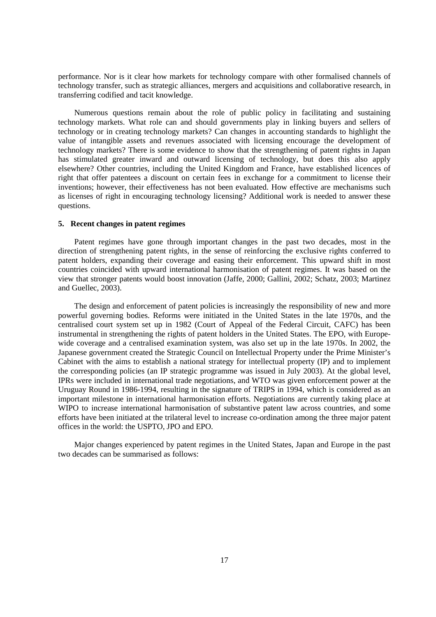performance. Nor is it clear how markets for technology compare with other formalised channels of technology transfer, such as strategic alliances, mergers and acquisitions and collaborative research, in transferring codified and tacit knowledge.

Numerous questions remain about the role of public policy in facilitating and sustaining technology markets. What role can and should governments play in linking buyers and sellers of technology or in creating technology markets? Can changes in accounting standards to highlight the value of intangible assets and revenues associated with licensing encourage the development of technology markets? There is some evidence to show that the strengthening of patent rights in Japan has stimulated greater inward and outward licensing of technology, but does this also apply elsewhere? Other countries, including the United Kingdom and France, have established licences of right that offer patentees a discount on certain fees in exchange for a commitment to license their inventions; however, their effectiveness has not been evaluated. How effective are mechanisms such as licenses of right in encouraging technology licensing? Additional work is needed to answer these questions.

## **5. Recent changes in patent regimes**

Patent regimes have gone through important changes in the past two decades, most in the direction of strengthening patent rights, in the sense of reinforcing the exclusive rights conferred to patent holders, expanding their coverage and easing their enforcement. This upward shift in most countries coincided with upward international harmonisation of patent regimes. It was based on the view that stronger patents would boost innovation (Jaffe, 2000; Gallini, 2002; Schatz, 2003; Martinez and Guellec, 2003).

The design and enforcement of patent policies is increasingly the responsibility of new and more powerful governing bodies. Reforms were initiated in the United States in the late 1970s, and the centralised court system set up in 1982 (Court of Appeal of the Federal Circuit, CAFC) has been instrumental in strengthening the rights of patent holders in the United States. The EPO, with Europewide coverage and a centralised examination system, was also set up in the late 1970s. In 2002, the Japanese government created the Strategic Council on Intellectual Property under the Prime Minister's Cabinet with the aims to establish a national strategy for intellectual property (IP) and to implement the corresponding policies (an IP strategic programme was issued in July 2003). At the global level, IPRs were included in international trade negotiations, and WTO was given enforcement power at the Uruguay Round in 1986-1994, resulting in the signature of TRIPS in 1994, which is considered as an important milestone in international harmonisation efforts. Negotiations are currently taking place at WIPO to increase international harmonisation of substantive patent law across countries, and some efforts have been initiated at the trilateral level to increase co-ordination among the three major patent offices in the world: the USPTO, JPO and EPO.

Major changes experienced by patent regimes in the United States, Japan and Europe in the past two decades can be summarised as follows: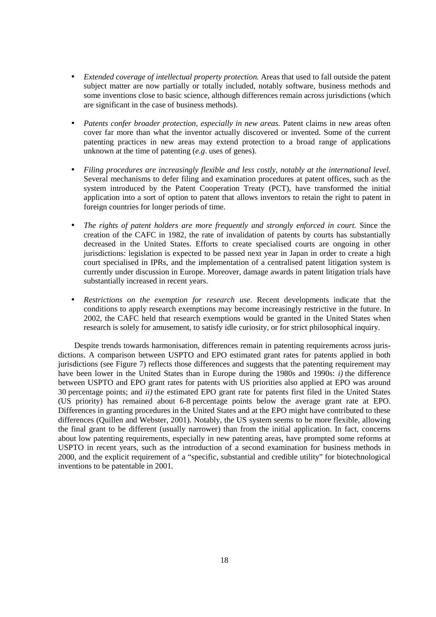- *Extended coverage of intellectual property protection.* Areas that used to fall outside the patent subject matter are now partially or totally included, notably software, business methods and some inventions close to basic science, although differences remain across jurisdictions (which are significant in the case of business methods).
- *Patents confer broader protection, especially in new areas.* Patent claims in new areas often cover far more than what the inventor actually discovered or invented. Some of the current patenting practices in new areas may extend protection to a broad range of applications unknown at the time of patenting (*e.g*. uses of genes).
- *Filing procedures are increasingly flexible and less costly, notably at the international level.* Several mechanisms to defer filing and examination procedures at patent offices, such as the system introduced by the Patent Cooperation Treaty (PCT), have transformed the initial application into a sort of option to patent that allows inventors to retain the right to patent in foreign countries for longer periods of time.
- The rights of patent holders are more frequently and strongly enforced in court. Since the creation of the CAFC in 1982, the rate of invalidation of patents by courts has substantially decreased in the United States. Efforts to create specialised courts are ongoing in other jurisdictions: legislation is expected to be passed next year in Japan in order to create a high court specialised in IPRs, and the implementation of a centralised patent litigation system is currently under discussion in Europe. Moreover, damage awards in patent litigation trials have substantially increased in recent years.
- *Restrictions on the exemption for research use*. Recent developments indicate that the conditions to apply research exemptions may become increasingly restrictive in the future. In 2002, the CAFC held that research exemptions would be granted in the United States when research is solely for amusement, to satisfy idle curiosity, or for strict philosophical inquiry.

Despite trends towards harmonisation, differences remain in patenting requirements across jurisdictions. A comparison between USPTO and EPO estimated grant rates for patents applied in both jurisdictions (see Figure 7) reflects those differences and suggests that the patenting requirement may have been lower in the United States than in Europe during the 1980s and 1990s: *i)* the difference between USPTO and EPO grant rates for patents with US priorities also applied at EPO was around 30 percentage points; and *ii)* the estimated EPO grant rate for patents first filed in the United States (US priority) has remained about 6-8 percentage points below the average grant rate at EPO. Differences in granting procedures in the United States and at the EPO might have contributed to these differences (Quillen and Webster, 2001). Notably, the US system seems to be more flexible, allowing the final grant to be different (usually narrower) than from the initial application. In fact, concerns about low patenting requirements, especially in new patenting areas, have prompted some reforms at USPTO in recent years, such as the introduction of a second examination for business methods in 2000, and the explicit requirement of a "specific, substantial and credible utility" for biotechnological inventions to be patentable in 2001.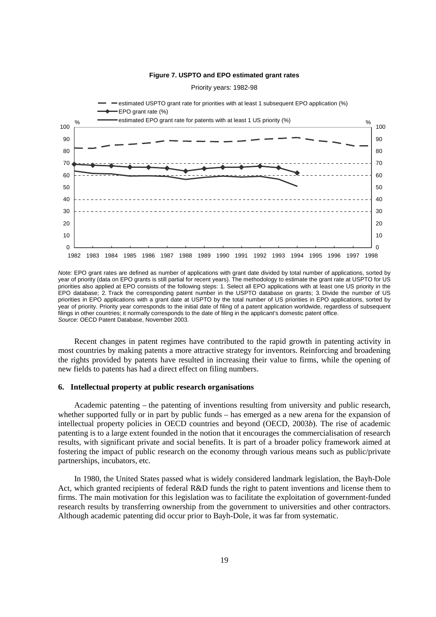#### **Figure 7. USPTO and EPO estimated grant rates**

Priority years: 1982-98



Note: EPO grant rates are defined as number of applications with grant date divided by total number of applications, sorted by year of priority (data on EPO grants is still partial for recent years). The methodology to estimate the grant rate at USPTO for US priorities also applied at EPO consists of the following steps: 1. Select all EPO applications with at least one US priority in the EPO database; 2. Track the corresponding patent number in the USPTO database on grants; 3. Divide the number of US priorities in EPO applications with a grant date at USPTO by the total number of US priorities in EPO applications, sorted by year of priority. Priority year corresponds to the initial date of filing of a patent application worldwide, regardless of subsequent filings in other countries; it normally corresponds to the date of filing in the applicant's domestic patent office. Source: OECD Patent Database, November 2003.

Recent changes in patent regimes have contributed to the rapid growth in patenting activity in most countries by making patents a more attractive strategy for inventors. Reinforcing and broadening the rights provided by patents have resulted in increasing their value to firms, while the opening of new fields to patents has had a direct effect on filing numbers.

#### **6. Intellectual property at public research organisations**

Academic patenting – the patenting of inventions resulting from university and public research, whether supported fully or in part by public funds – has emerged as a new arena for the expansion of intellectual property policies in OECD countries and beyond (OECD, 2003*b*). The rise of academic patenting is to a large extent founded in the notion that it encourages the commercialisation of research results, with significant private and social benefits. It is part of a broader policy framework aimed at fostering the impact of public research on the economy through various means such as public/private partnerships, incubators, etc*.*

In 1980, the United States passed what is widely considered landmark legislation, the Bayh-Dole Act, which granted recipients of federal R&D funds the right to patent inventions and license them to firms. The main motivation for this legislation was to facilitate the exploitation of government-funded research results by transferring ownership from the government to universities and other contractors. Although academic patenting did occur prior to Bayh-Dole, it was far from systematic.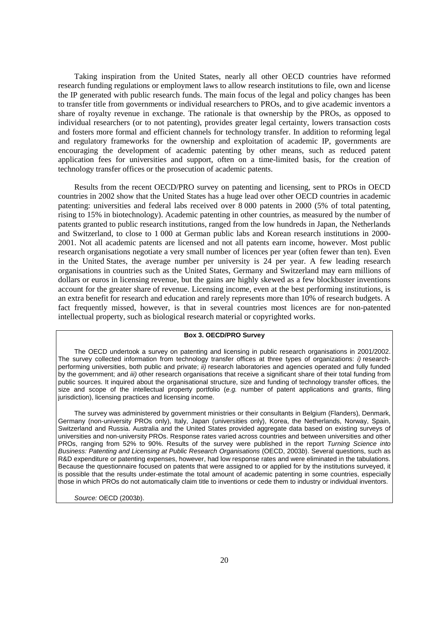Taking inspiration from the United States, nearly all other OECD countries have reformed research funding regulations or employment laws to allow research institutions to file, own and license the IP generated with public research funds. The main focus of the legal and policy changes has been to transfer title from governments or individual researchers to PROs, and to give academic inventors a share of royalty revenue in exchange. The rationale is that ownership by the PROs, as opposed to individual researchers (or to not patenting), provides greater legal certainty, lowers transaction costs and fosters more formal and efficient channels for technology transfer. In addition to reforming legal and regulatory frameworks for the ownership and exploitation of academic IP, governments are encouraging the development of academic patenting by other means, such as reduced patent application fees for universities and support, often on a time-limited basis, for the creation of technology transfer offices or the prosecution of academic patents.

Results from the recent OECD/PRO survey on patenting and licensing, sent to PROs in OECD countries in 2002 show that the United States has a huge lead over other OECD countries in academic patenting: universities and federal labs received over 8 000 patents in 2000 (5% of total patenting, rising to 15% in biotechnology). Academic patenting in other countries, as measured by the number of patents granted to public research institutions, ranged from the low hundreds in Japan, the Netherlands and Switzerland, to close to 1 000 at German public labs and Korean research institutions in 2000- 2001. Not all academic patents are licensed and not all patents earn income, however. Most public research organisations negotiate a very small number of licences per year (often fewer than ten). Even in the United States, the average number per university is 24 per year. A few leading research organisations in countries such as the United States, Germany and Switzerland may earn millions of dollars or euros in licensing revenue, but the gains are highly skewed as a few blockbuster inventions account for the greater share of revenue. Licensing income, even at the best performing institutions, is an extra benefit for research and education and rarely represents more than 10% of research budgets. A fact frequently missed, however, is that in several countries most licences are for non-patented intellectual property, such as biological research material or copyrighted works.

## **Box 3. OECD/PRO Survey**

The OECD undertook a survey on patenting and licensing in public research organisations in 2001/2002. The survey collected information from technology transfer offices at three types of organizations: i) researchperforming universities, both public and private; ii) research laboratories and agencies operated and fully funded by the government; and *iii*) other research organisations that receive a significant share of their total funding from public sources. It inquired about the organisational structure, size and funding of technology transfer offices, the size and scope of the intellectual property portfolio (e.g. number of patent applications and grants, filing jurisdiction), licensing practices and licensing income.

The survey was administered by government ministries or their consultants in Belgium (Flanders), Denmark, Germany (non-university PROs only), Italy, Japan (universities only), Korea, the Netherlands, Norway, Spain, Switzerland and Russia. Australia and the United States provided aggregate data based on existing surveys of universities and non-university PROs. Response rates varied across countries and between universities and other PROs, ranging from 52% to 90%. Results of the survey were published in the report Turning Science into Business: Patenting and Licensing at Public Research Organisations (OECD, 2003b). Several questions, such as R&D expenditure or patenting expenses, however, had low response rates and were eliminated in the tabulations. Because the questionnaire focused on patents that were assigned to or applied for by the institutions surveyed, it is possible that the results under-estimate the total amount of academic patenting in some countries, especially those in which PROs do not automatically claim title to inventions or cede them to industry or individual inventors.

Source: OECD (2003b).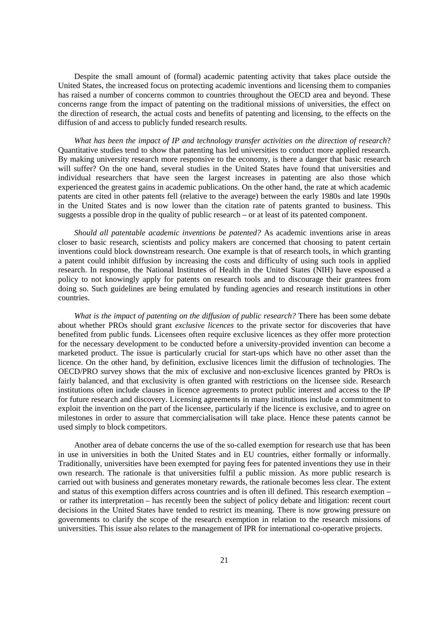Despite the small amount of (formal) academic patenting activity that takes place outside the United States, the increased focus on protecting academic inventions and licensing them to companies has raised a number of concerns common to countries throughout the OECD area and beyond. These concerns range from the impact of patenting on the traditional missions of universities, the effect on the direction of research, the actual costs and benefits of patenting and licensing, to the effects on the diffusion of and access to publicly funded research results.

*What has been the impact of IP and technology transfer activities on the direction of research*? Quantitative studies tend to show that patenting has led universities to conduct more applied research. By making university research more responsive to the economy, is there a danger that basic research will suffer? On the one hand, several studies in the United States have found that universities and individual researchers that have seen the largest increases in patenting are also those which experienced the greatest gains in academic publications. On the other hand, the rate at which academic patents are cited in other patents fell (relative to the average) between the early 1980s and late 1990s in the United States and is now lower than the citation rate of patents granted to business. This suggests a possible drop in the quality of public research – or at least of its patented component.

*Should all patentable academic inventions be patented?* As academic inventions arise in areas closer to basic research, scientists and policy makers are concerned that choosing to patent certain inventions could block downstream research. One example is that of research tools, in which granting a patent could inhibit diffusion by increasing the costs and difficulty of using such tools in applied research. In response, the National Institutes of Health in the United States (NIH) have espoused a policy to not knowingly apply for patents on research tools and to discourage their grantees from doing so. Such guidelines are being emulated by funding agencies and research institutions in other countries.

*What is the impact of patenting on the diffusion of public research?* There has been some debate about whether PROs should grant *exclusive licences* to the private sector for discoveries that have benefited from public funds. Licensees often require exclusive licences as they offer more protection for the necessary development to be conducted before a university-provided invention can become a marketed product. The issue is particularly crucial for start-ups which have no other asset than the licence. On the other hand, by definition, exclusive licences limit the diffusion of technologies. The OECD/PRO survey shows that the mix of exclusive and non-exclusive licences granted by PROs is fairly balanced, and that exclusivity is often granted with restrictions on the licensee side. Research institutions often include clauses in licence agreements to protect public interest and access to the IP for future research and discovery. Licensing agreements in many institutions include a commitment to exploit the invention on the part of the licensee, particularly if the licence is exclusive, and to agree on milestones in order to assure that commercialisation will take place. Hence these patents cannot be used simply to block competitors.

Another area of debate concerns the use of the so-called exemption for research use that has been in use in universities in both the United States and in EU countries, either formally or informally. Traditionally, universities have been exempted for paying fees for patented inventions they use in their own research. The rationale is that universities fulfil a public mission. As more public research is carried out with business and generates monetary rewards, the rationale becomes less clear. The extent and status of this exemption differs across countries and is often ill defined. This research exemption – or rather its interpretation – has recently been the subject of policy debate and litigation: recent court decisions in the United States have tended to restrict its meaning. There is now growing pressure on governments to clarify the scope of the research exemption in relation to the research missions of universities. This issue also relates to the management of IPR for international co-operative projects.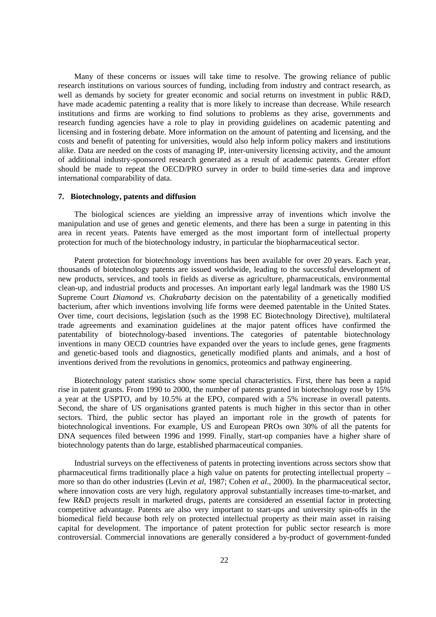Many of these concerns or issues will take time to resolve. The growing reliance of public research institutions on various sources of funding, including from industry and contract research, as well as demands by society for greater economic and social returns on investment in public R&D, have made academic patenting a reality that is more likely to increase than decrease. While research institutions and firms are working to find solutions to problems as they arise, governments and research funding agencies have a role to play in providing guidelines on academic patenting and licensing and in fostering debate. More information on the amount of patenting and licensing, and the costs and benefit of patenting for universities, would also help inform policy makers and institutions alike. Data are needed on the costs of managing IP, inter-university licensing activity, and the amount of additional industry-sponsored research generated as a result of academic patents. Greater effort should be made to repeat the OECD/PRO survey in order to build time-series data and improve international comparability of data.

## **7. Biotechnology, patents and diffusion**

The biological sciences are yielding an impressive array of inventions which involve the manipulation and use of genes and genetic elements, and there has been a surge in patenting in this area in recent years. Patents have emerged as the most important form of intellectual property protection for much of the biotechnology industry, in particular the biopharmaceutical sector.

Patent protection for biotechnology inventions has been available for over 20 years. Each year, thousands of biotechnology patents are issued worldwide, leading to the successful development of new products, services, and tools in fields as diverse as agriculture, pharmaceuticals, environmental clean-up, and industrial products and processes. An important early legal landmark was the 1980 US Supreme Court *Diamond vs. Chakrabarty* decision on the patentability of a genetically modified bacterium, after which inventions involving life forms were deemed patentable in the United States. Over time, court decisions, legislation (such as the 1998 EC Biotechnology Directive), multilateral trade agreements and examination guidelines at the major patent offices have confirmed the patentability of biotechnology-based inventions. The categories of patentable biotechnology inventions in many OECD countries have expanded over the years to include genes, gene fragments and genetic-based tools and diagnostics, genetically modified plants and animals, and a host of inventions derived from the revolutions in genomics, proteomics and pathway engineering.

Biotechnology patent statistics show some special characteristics. First, there has been a rapid rise in patent grants. From 1990 to 2000, the number of patents granted in biotechnology rose by 15% a year at the USPTO, and by 10.5% at the EPO, compared with a 5% increase in overall patents. Second, the share of US organisations granted patents is much higher in this sector than in other sectors. Third, the public sector has played an important role in the growth of patents for biotechnological inventions. For example, US and European PROs own 30% of all the patents for DNA sequences filed between 1996 and 1999. Finally, start-up companies have a higher share of biotechnology patents than do large, established pharmaceutical companies.

Industrial surveys on the effectiveness of patents in protecting inventions across sectors show that pharmaceutical firms traditionally place a high value on patents for protecting intellectual property – more so than do other industries (Levin *et al,* 1987; Cohen *et al.*, 2000). In the pharmaceutical sector, where innovation costs are very high, regulatory approval substantially increases time-to-market, and few R&D projects result in marketed drugs, patents are considered an essential factor in protecting competitive advantage. Patents are also very important to start-ups and university spin-offs in the biomedical field because both rely on protected intellectual property as their main asset in raising capital for development. The importance of patent protection for public sector research is more controversial. Commercial innovations are generally considered a by-product of government-funded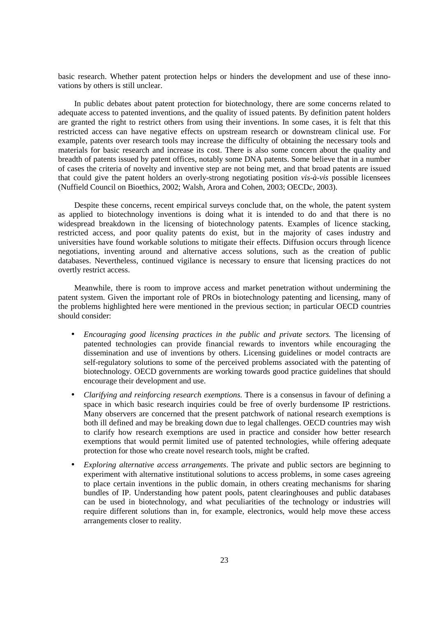basic research. Whether patent protection helps or hinders the development and use of these innovations by others is still unclear.

In public debates about patent protection for biotechnology, there are some concerns related to adequate access to patented inventions, and the quality of issued patents. By definition patent holders are granted the right to restrict others from using their inventions. In some cases, it is felt that this restricted access can have negative effects on upstream research or downstream clinical use. For example, patents over research tools may increase the difficulty of obtaining the necessary tools and materials for basic research and increase its cost. There is also some concern about the quality and breadth of patents issued by patent offices, notably some DNA patents. Some believe that in a number of cases the criteria of novelty and inventive step are not being met, and that broad patents are issued that could give the patent holders an overly-strong negotiating position *vis-à-vis* possible licensees (Nuffield Council on Bioethics, 2002; Walsh, Arora and Cohen, 2003; OECD*c*, 2003).

Despite these concerns, recent empirical surveys conclude that, on the whole, the patent system as applied to biotechnology inventions is doing what it is intended to do and that there is no widespread breakdown in the licensing of biotechnology patents. Examples of licence stacking, restricted access, and poor quality patents do exist, but in the majority of cases industry and universities have found workable solutions to mitigate their effects. Diffusion occurs through licence negotiations, inventing around and alternative access solutions, such as the creation of public databases. Nevertheless, continued vigilance is necessary to ensure that licensing practices do not overtly restrict access.

Meanwhile, there is room to improve access and market penetration without undermining the patent system. Given the important role of PROs in biotechnology patenting and licensing, many of the problems highlighted here were mentioned in the previous section; in particular OECD countries should consider:

- *Encouraging good licensing practices in the public and private sectors.* The licensing of patented technologies can provide financial rewards to inventors while encouraging the dissemination and use of inventions by others. Licensing guidelines or model contracts are self-regulatory solutions to some of the perceived problems associated with the patenting of biotechnology. OECD governments are working towards good practice guidelines that should encourage their development and use.
- *Clarifying and reinforcing research exemptions.* There is a consensus in favour of defining a space in which basic research inquiries could be free of overly burdensome IP restrictions. Many observers are concerned that the present patchwork of national research exemptions is both ill defined and may be breaking down due to legal challenges. OECD countries may wish to clarify how research exemptions are used in practice and consider how better research exemptions that would permit limited use of patented technologies, while offering adequate protection for those who create novel research tools, might be crafted.
- *Exploring alternative access arrangements*. The private and public sectors are beginning to experiment with alternative institutional solutions to access problems, in some cases agreeing to place certain inventions in the public domain, in others creating mechanisms for sharing bundles of IP. Understanding how patent pools, patent clearinghouses and public databases can be used in biotechnology, and what peculiarities of the technology or industries will require different solutions than in, for example, electronics, would help move these access arrangements closer to reality.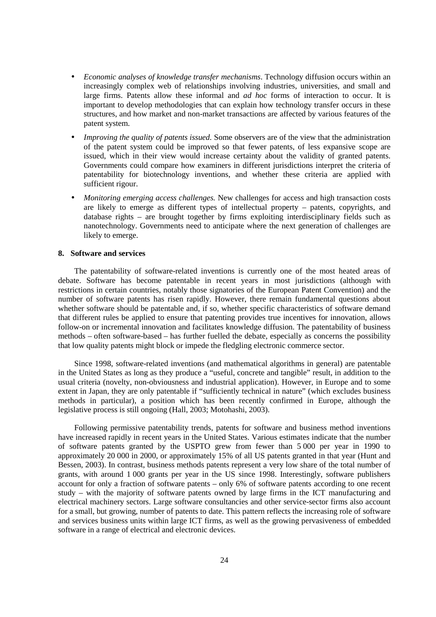- *Economic analyses of knowledge transfer mechanisms*. Technology diffusion occurs within an increasingly complex web of relationships involving industries, universities, and small and large firms. Patents allow these informal and *ad hoc* forms of interaction to occur. It is important to develop methodologies that can explain how technology transfer occurs in these structures, and how market and non-market transactions are affected by various features of the patent system.
- *Improving the quality of patents issued.* Some observers are of the view that the administration of the patent system could be improved so that fewer patents, of less expansive scope are issued, which in their view would increase certainty about the validity of granted patents. Governments could compare how examiners in different jurisdictions interpret the criteria of patentability for biotechnology inventions, and whether these criteria are applied with sufficient rigour.
- *Monitoring emerging access challenges.* New challenges for access and high transaction costs are likely to emerge as different types of intellectual property – patents, copyrights, and database rights – are brought together by firms exploiting interdisciplinary fields such as nanotechnology. Governments need to anticipate where the next generation of challenges are likely to emerge.

## **8. Software and services**

The patentability of software-related inventions is currently one of the most heated areas of debate. Software has become patentable in recent years in most jurisdictions (although with restrictions in certain countries, notably those signatories of the European Patent Convention) and the number of software patents has risen rapidly. However, there remain fundamental questions about whether software should be patentable and, if so, whether specific characteristics of software demand that different rules be applied to ensure that patenting provides true incentives for innovation, allows follow-on or incremental innovation and facilitates knowledge diffusion. The patentability of business methods – often software-based – has further fuelled the debate, especially as concerns the possibility that low quality patents might block or impede the fledgling electronic commerce sector.

Since 1998, software-related inventions (and mathematical algorithms in general) are patentable in the United States as long as they produce a "useful, concrete and tangible" result, in addition to the usual criteria (novelty, non-obviousness and industrial application). However, in Europe and to some extent in Japan, they are only patentable if "sufficiently technical in nature" (which excludes business methods in particular), a position which has been recently confirmed in Europe, although the legislative process is still ongoing (Hall, 2003; Motohashi, 2003).

Following permissive patentability trends, patents for software and business method inventions have increased rapidly in recent years in the United States. Various estimates indicate that the number of software patents granted by the USPTO grew from fewer than 5 000 per year in 1990 to approximately 20 000 in 2000, or approximately 15% of all US patents granted in that year (Hunt and Bessen, 2003). In contrast, business methods patents represent a very low share of the total number of grants, with around 1 000 grants per year in the US since 1998. Interestingly, software publishers account for only a fraction of software patents – only 6% of software patents according to one recent study – with the majority of software patents owned by large firms in the ICT manufacturing and electrical machinery sectors. Large software consultancies and other service-sector firms also account for a small, but growing, number of patents to date. This pattern reflects the increasing role of software and services business units within large ICT firms, as well as the growing pervasiveness of embedded software in a range of electrical and electronic devices.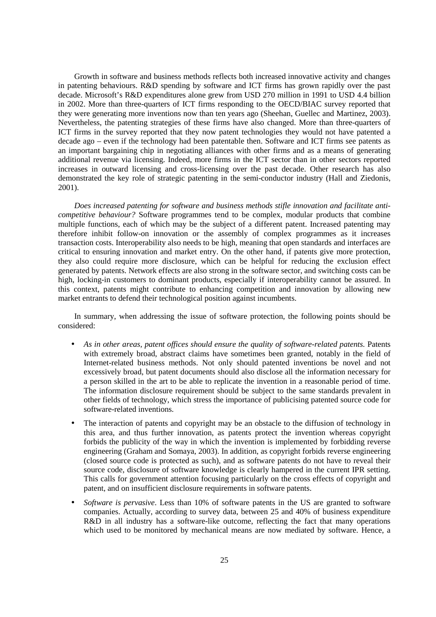Growth in software and business methods reflects both increased innovative activity and changes in patenting behaviours. R&D spending by software and ICT firms has grown rapidly over the past decade. Microsoft's R&D expenditures alone grew from USD 270 million in 1991 to USD 4.4 billion in 2002. More than three-quarters of ICT firms responding to the OECD/BIAC survey reported that they were generating more inventions now than ten years ago (Sheehan, Guellec and Martinez, 2003). Nevertheless, the patenting strategies of these firms have also changed. More than three-quarters of ICT firms in the survey reported that they now patent technologies they would not have patented a decade ago – even if the technology had been patentable then. Software and ICT firms see patents as an important bargaining chip in negotiating alliances with other firms and as a means of generating additional revenue via licensing. Indeed, more firms in the ICT sector than in other sectors reported increases in outward licensing and cross-licensing over the past decade. Other research has also demonstrated the key role of strategic patenting in the semi-conductor industry (Hall and Ziedonis, 2001).

*Does increased patenting for software and business methods stifle innovation and facilitate anticompetitive behaviour?* Software programmes tend to be complex, modular products that combine multiple functions, each of which may be the subject of a different patent. Increased patenting may therefore inhibit follow-on innovation or the assembly of complex programmes as it increases transaction costs. Interoperability also needs to be high, meaning that open standards and interfaces are critical to ensuring innovation and market entry. On the other hand, if patents give more protection, they also could require more disclosure, which can be helpful for reducing the exclusion effect generated by patents. Network effects are also strong in the software sector, and switching costs can be high, locking-in customers to dominant products, especially if interoperability cannot be assured. In this context, patents might contribute to enhancing competition and innovation by allowing new market entrants to defend their technological position against incumbents.

In summary, when addressing the issue of software protection, the following points should be considered:

- As in other areas, patent offices should ensure the quality of software-related patents. Patents with extremely broad, abstract claims have sometimes been granted, notably in the field of Internet-related business methods. Not only should patented inventions be novel and not excessively broad, but patent documents should also disclose all the information necessary for a person skilled in the art to be able to replicate the invention in a reasonable period of time. The information disclosure requirement should be subject to the same standards prevalent in other fields of technology, which stress the importance of publicising patented source code for software-related inventions.
- The interaction of patents and copyright may be an obstacle to the diffusion of technology in this area, and thus further innovation, as patents protect the invention whereas copyright forbids the publicity of the way in which the invention is implemented by forbidding reverse engineering (Graham and Somaya, 2003). In addition, as copyright forbids reverse engineering (closed source code is protected as such), and as software patents do not have to reveal their source code, disclosure of software knowledge is clearly hampered in the current IPR setting. This calls for government attention focusing particularly on the cross effects of copyright and patent, and on insufficient disclosure requirements in software patents.
- *Software is pervasive*. Less than 10% of software patents in the US are granted to software companies. Actually, according to survey data, between 25 and 40% of business expenditure R&D in all industry has a software-like outcome, reflecting the fact that many operations which used to be monitored by mechanical means are now mediated by software. Hence, a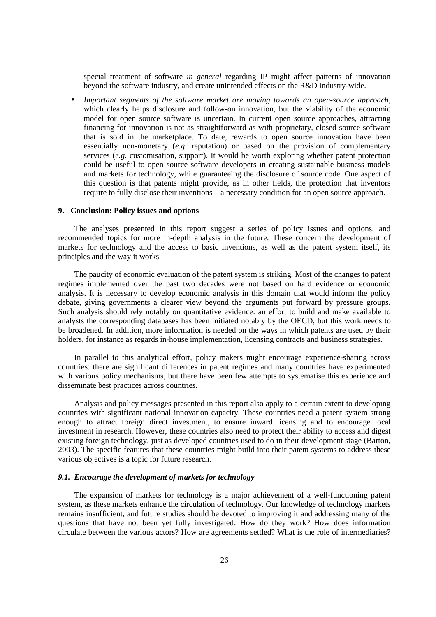special treatment of software *in general* regarding IP might affect patterns of innovation beyond the software industry, and create unintended effects on the R&D industry-wide.

• *Important segments of the software market are moving towards an open-source approach*, which clearly helps disclosure and follow-on innovation, but the viability of the economic model for open source software is uncertain. In current open source approaches, attracting financing for innovation is not as straightforward as with proprietary, closed source software that is sold in the marketplace. To date, rewards to open source innovation have been essentially non-monetary (*e.g.* reputation) or based on the provision of complementary services (*e.g.* customisation, support). It would be worth exploring whether patent protection could be useful to open source software developers in creating sustainable business models and markets for technology, while guaranteeing the disclosure of source code. One aspect of this question is that patents might provide, as in other fields, the protection that inventors require to fully disclose their inventions – a necessary condition for an open source approach.

## **9. Conclusion: Policy issues and options**

The analyses presented in this report suggest a series of policy issues and options, and recommended topics for more in-depth analysis in the future. These concern the development of markets for technology and the access to basic inventions, as well as the patent system itself, its principles and the way it works.

The paucity of economic evaluation of the patent system is striking. Most of the changes to patent regimes implemented over the past two decades were not based on hard evidence or economic analysis. It is necessary to develop economic analysis in this domain that would inform the policy debate, giving governments a clearer view beyond the arguments put forward by pressure groups. Such analysis should rely notably on quantitative evidence: an effort to build and make available to analysts the corresponding databases has been initiated notably by the OECD, but this work needs to be broadened. In addition, more information is needed on the ways in which patents are used by their holders, for instance as regards in-house implementation, licensing contracts and business strategies.

In parallel to this analytical effort, policy makers might encourage experience-sharing across countries: there are significant differences in patent regimes and many countries have experimented with various policy mechanisms, but there have been few attempts to systematise this experience and disseminate best practices across countries.

Analysis and policy messages presented in this report also apply to a certain extent to developing countries with significant national innovation capacity. These countries need a patent system strong enough to attract foreign direct investment, to ensure inward licensing and to encourage local investment in research. However, these countries also need to protect their ability to access and digest existing foreign technology, just as developed countries used to do in their development stage (Barton, 2003). The specific features that these countries might build into their patent systems to address these various objectives is a topic for future research.

## *9.1. Encourage the development of markets for technology*

The expansion of markets for technology is a major achievement of a well-functioning patent system, as these markets enhance the circulation of technology. Our knowledge of technology markets remains insufficient, and future studies should be devoted to improving it and addressing many of the questions that have not been yet fully investigated: How do they work? How does information circulate between the various actors? How are agreements settled? What is the role of intermediaries?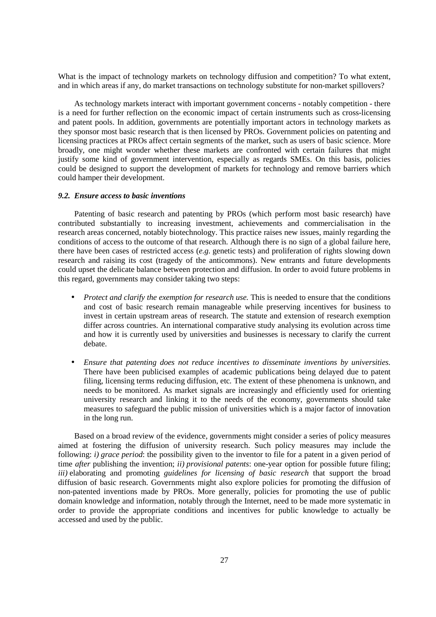What is the impact of technology markets on technology diffusion and competition? To what extent, and in which areas if any, do market transactions on technology substitute for non-market spillovers?

As technology markets interact with important government concerns - notably competition - there is a need for further reflection on the economic impact of certain instruments such as cross-licensing and patent pools. In addition, governments are potentially important actors in technology markets as they sponsor most basic research that is then licensed by PROs. Government policies on patenting and licensing practices at PROs affect certain segments of the market, such as users of basic science. More broadly, one might wonder whether these markets are confronted with certain failures that might justify some kind of government intervention, especially as regards SMEs. On this basis, policies could be designed to support the development of markets for technology and remove barriers which could hamper their development.

## *9.2. Ensure access to basic inventions*

Patenting of basic research and patenting by PROs (which perform most basic research) have contributed substantially to increasing investment, achievements and commercialisation in the research areas concerned, notably biotechnology. This practice raises new issues, mainly regarding the conditions of access to the outcome of that research. Although there is no sign of a global failure here, there have been cases of restricted access (*e.g.* genetic tests) and proliferation of rights slowing down research and raising its cost (tragedy of the anticommons). New entrants and future developments could upset the delicate balance between protection and diffusion. In order to avoid future problems in this regard, governments may consider taking two steps:

- *Protect and clarify the exemption for research use.* This is needed to ensure that the conditions and cost of basic research remain manageable while preserving incentives for business to invest in certain upstream areas of research. The statute and extension of research exemption differ across countries. An international comparative study analysing its evolution across time and how it is currently used by universities and businesses is necessary to clarify the current debate.
- *Ensure that patenting does not reduce incentives to disseminate inventions by universities.* There have been publicised examples of academic publications being delayed due to patent filing, licensing terms reducing diffusion, etc*.* The extent of these phenomena is unknown, and needs to be monitored. As market signals are increasingly and efficiently used for orienting university research and linking it to the needs of the economy, governments should take measures to safeguard the public mission of universities which is a major factor of innovation in the long run.

Based on a broad review of the evidence, governments might consider a series of policy measures aimed at fostering the diffusion of university research. Such policy measures may include the following: *i) grace period*: the possibility given to the inventor to file for a patent in a given period of time *after* publishing the invention; *ii) provisional patents*: one-year option for possible future filing; *iii)* elaborating and promoting *guidelines for licensing of basic research* that support the broad diffusion of basic research. Governments might also explore policies for promoting the diffusion of non-patented inventions made by PROs. More generally, policies for promoting the use of public domain knowledge and information, notably through the Internet, need to be made more systematic in order to provide the appropriate conditions and incentives for public knowledge to actually be accessed and used by the public.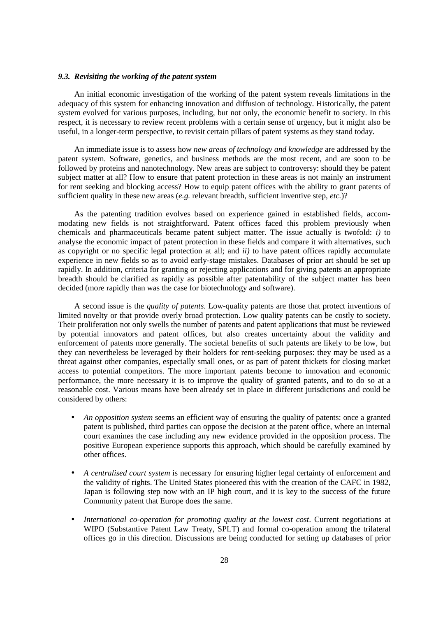## *9.3. Revisiting the working of the patent system*

An initial economic investigation of the working of the patent system reveals limitations in the adequacy of this system for enhancing innovation and diffusion of technology. Historically, the patent system evolved for various purposes, including, but not only, the economic benefit to society. In this respect, it is necessary to review recent problems with a certain sense of urgency, but it might also be useful, in a longer-term perspective, to revisit certain pillars of patent systems as they stand today.

An immediate issue is to assess how *new areas of technology and knowledge* are addressed by the patent system. Software, genetics, and business methods are the most recent, and are soon to be followed by proteins and nanotechnology. New areas are subject to controversy: should they be patent subject matter at all? How to ensure that patent protection in these areas is not mainly an instrument for rent seeking and blocking access? How to equip patent offices with the ability to grant patents of sufficient quality in these new areas (*e.g.* relevant breadth, sufficient inventive step, *etc.*)?

As the patenting tradition evolves based on experience gained in established fields, accommodating new fields is not straightforward. Patent offices faced this problem previously when chemicals and pharmaceuticals became patent subject matter. The issue actually is twofold: *i)* to analyse the economic impact of patent protection in these fields and compare it with alternatives, such as copyright or no specific legal protection at all; and *ii)* to have patent offices rapidly accumulate experience in new fields so as to avoid early-stage mistakes. Databases of prior art should be set up rapidly. In addition, criteria for granting or rejecting applications and for giving patents an appropriate breadth should be clarified as rapidly as possible after patentability of the subject matter has been decided (more rapidly than was the case for biotechnology and software).

A second issue is the *quality of patents*. Low-quality patents are those that protect inventions of limited novelty or that provide overly broad protection. Low quality patents can be costly to society. Their proliferation not only swells the number of patents and patent applications that must be reviewed by potential innovators and patent offices, but also creates uncertainty about the validity and enforcement of patents more generally. The societal benefits of such patents are likely to be low, but they can nevertheless be leveraged by their holders for rent-seeking purposes: they may be used as a threat against other companies, especially small ones, or as part of patent thickets for closing market access to potential competitors. The more important patents become to innovation and economic performance, the more necessary it is to improve the quality of granted patents, and to do so at a reasonable cost. Various means have been already set in place in different jurisdictions and could be considered by others:

- *An opposition system* seems an efficient way of ensuring the quality of patents: once a granted patent is published, third parties can oppose the decision at the patent office, where an internal court examines the case including any new evidence provided in the opposition process. The positive European experience supports this approach, which should be carefully examined by other offices.
- *A centralised court system* is necessary for ensuring higher legal certainty of enforcement and the validity of rights. The United States pioneered this with the creation of the CAFC in 1982, Japan is following step now with an IP high court, and it is key to the success of the future Community patent that Europe does the same.
- *International co-operation for promoting quality at the lowest cost.* Current negotiations at WIPO (Substantive Patent Law Treaty, SPLT) and formal co-operation among the trilateral offices go in this direction. Discussions are being conducted for setting up databases of prior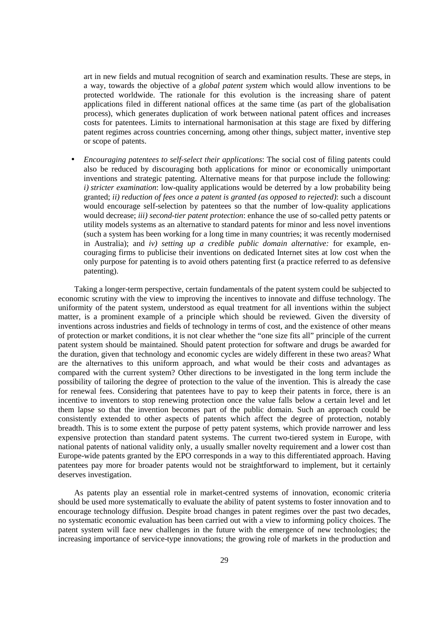art in new fields and mutual recognition of search and examination results. These are steps, in a way, towards the objective of a *global patent system* which would allow inventions to be protected worldwide. The rationale for this evolution is the increasing share of patent applications filed in different national offices at the same time (as part of the globalisation process), which generates duplication of work between national patent offices and increases costs for patentees. Limits to international harmonisation at this stage are fixed by differing patent regimes across countries concerning, among other things, subject matter, inventive step or scope of patents.

• *Encouraging patentees to self-select their applications*: The social cost of filing patents could also be reduced by discouraging both applications for minor or economically unimportant inventions and strategic patenting. Alternative means for that purpose include the following: *i) stricter examination*: low-quality applications would be deterred by a low probability being granted; *ii) reduction of fees once a patent is granted (as opposed to rejected)*: such a discount would encourage self-selection by patentees so that the number of low-quality applications would decrease; *iii) second-tier patent protection*: enhance the use of so-called petty patents or utility models systems as an alternative to standard patents for minor and less novel inventions (such a system has been working for a long time in many countries; it was recently modernised in Australia); and *iv) setting up a credible public domain alternative:* for example, encouraging firms to publicise their inventions on dedicated Internet sites at low cost when the only purpose for patenting is to avoid others patenting first (a practice referred to as defensive patenting).

Taking a longer-term perspective, certain fundamentals of the patent system could be subjected to economic scrutiny with the view to improving the incentives to innovate and diffuse technology. The uniformity of the patent system, understood as equal treatment for all inventions within the subject matter, is a prominent example of a principle which should be reviewed. Given the diversity of inventions across industries and fields of technology in terms of cost, and the existence of other means of protection or market conditions, it is not clear whether the "one size fits all" principle of the current patent system should be maintained. Should patent protection for software and drugs be awarded for the duration, given that technology and economic cycles are widely different in these two areas? What are the alternatives to this uniform approach, and what would be their costs and advantages as compared with the current system? Other directions to be investigated in the long term include the possibility of tailoring the degree of protection to the value of the invention. This is already the case for renewal fees. Considering that patentees have to pay to keep their patents in force, there is an incentive to inventors to stop renewing protection once the value falls below a certain level and let them lapse so that the invention becomes part of the public domain. Such an approach could be consistently extended to other aspects of patents which affect the degree of protection, notably breadth. This is to some extent the purpose of petty patent systems, which provide narrower and less expensive protection than standard patent systems. The current two-tiered system in Europe, with national patents of national validity only, a usually smaller novelty requirement and a lower cost than Europe-wide patents granted by the EPO corresponds in a way to this differentiated approach. Having patentees pay more for broader patents would not be straightforward to implement, but it certainly deserves investigation.

As patents play an essential role in market-centred systems of innovation, economic criteria should be used more systematically to evaluate the ability of patent systems to foster innovation and to encourage technology diffusion. Despite broad changes in patent regimes over the past two decades, no systematic economic evaluation has been carried out with a view to informing policy choices. The patent system will face new challenges in the future with the emergence of new technologies; the increasing importance of service-type innovations; the growing role of markets in the production and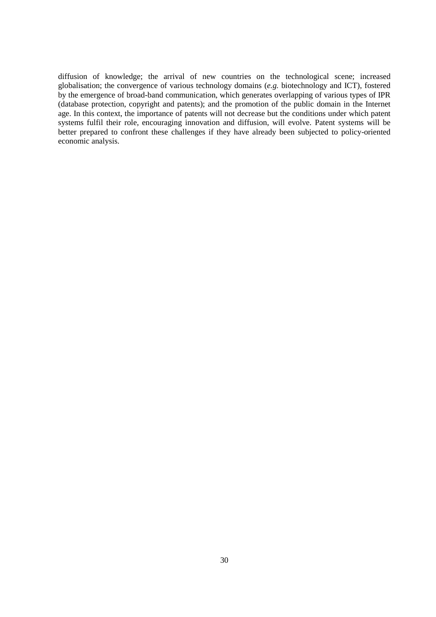diffusion of knowledge; the arrival of new countries on the technological scene; increased globalisation; the convergence of various technology domains (*e.g.* biotechnology and ICT), fostered by the emergence of broad-band communication, which generates overlapping of various types of IPR (database protection, copyright and patents); and the promotion of the public domain in the Internet age. In this context, the importance of patents will not decrease but the conditions under which patent systems fulfil their role, encouraging innovation and diffusion, will evolve. Patent systems will be better prepared to confront these challenges if they have already been subjected to policy-oriented economic analysis.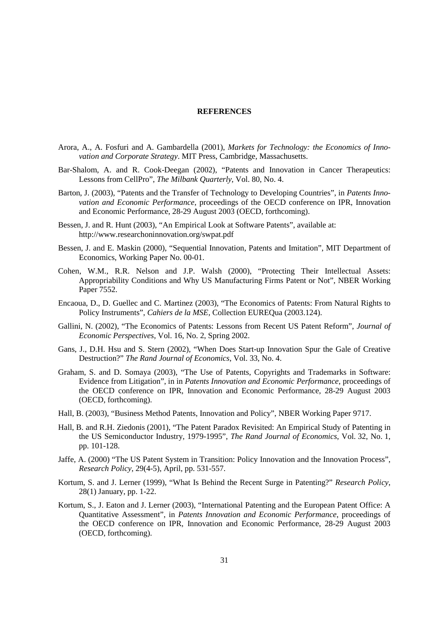## **REFERENCES**

- Arora, A., A. Fosfuri and A. Gambardella (2001), *Markets for Technology: the Economics of Innovation and Corporate Strategy*. MIT Press, Cambridge, Massachusetts.
- Bar-Shalom, A. and R. Cook-Deegan (2002), "Patents and Innovation in Cancer Therapeutics: Lessons from CellPro", *The Milbank Quarterly*, Vol. 80, No. 4.
- Barton, J. (2003), "Patents and the Transfer of Technology to Developing Countries", in *Patents Innovation and Economic Performance*, proceedings of the OECD conference on IPR, Innovation and Economic Performance, 28-29 August 2003 (OECD, forthcoming).
- Bessen, J. and R. Hunt (2003), "An Empirical Look at Software Patents", available at: http://www.researchoninnovation.org/swpat.pdf
- Bessen, J. and E. Maskin (2000), "Sequential Innovation, Patents and Imitation", MIT Department of Economics, Working Paper No. 00-01.
- Cohen, W.M., R.R. Nelson and J.P. Walsh (2000), "Protecting Their Intellectual Assets: Appropriability Conditions and Why US Manufacturing Firms Patent or Not", NBER Working Paper 7552.
- Encaoua, D., D. Guellec and C. Martinez (2003), "The Economics of Patents: From Natural Rights to Policy Instruments", *Cahiers de la MSE,* Collection EUREQua (2003.124).
- Gallini, N. (2002), "The Economics of Patents: Lessons from Recent US Patent Reform", *Journal of Economic Perspectives*, Vol. 16, No. 2, Spring 2002.
- Gans, J., D.H. Hsu and S. Stern (2002), "When Does Start-up Innovation Spur the Gale of Creative Destruction?" *The Rand Journal of Economics*, Vol. 33, No. 4.
- Graham, S. and D. Somaya (2003), "The Use of Patents, Copyrights and Trademarks in Software: Evidence from Litigation", in in *Patents Innovation and Economic Performance*, proceedings of the OECD conference on IPR, Innovation and Economic Performance, 28-29 August 2003 (OECD, forthcoming).
- Hall, B. (2003), "Business Method Patents, Innovation and Policy", NBER Working Paper 9717.
- Hall, B. and R.H. Ziedonis (2001), "The Patent Paradox Revisited: An Empirical Study of Patenting in the US Semiconductor Industry, 1979-1995", *The Rand Journal of Economics*, Vol. 32, No. 1, pp. 101-128.
- Jaffe, A. (2000) "The US Patent System in Transition: Policy Innovation and the Innovation Process", *Research Policy*, 29(4-5), April, pp. 531-557.
- Kortum, S. and J. Lerner (1999), "What Is Behind the Recent Surge in Patenting?" *Research Policy*, 28(1) January, pp. 1-22.
- Kortum, S., J. Eaton and J. Lerner (2003), "International Patenting and the European Patent Office: A Quantitative Assessment", in *Patents Innovation and Economic Performance*, proceedings of the OECD conference on IPR, Innovation and Economic Performance, 28-29 August 2003 (OECD, forthcoming).